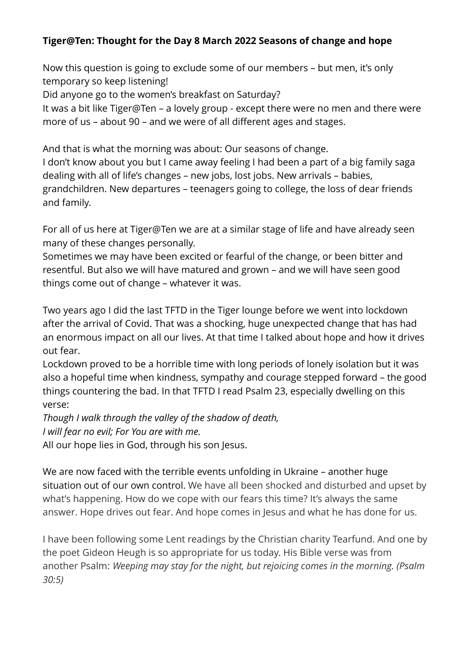## **Tiger@Ten: Thought for the Day 8 March 2022 Seasons of change and hope**

Now this question is going to exclude some of our members – but men, it's only temporary so keep listening!

Did anyone go to the women's breakfast on Saturday?

It was a bit like Tiger@Ten – a lovely group - except there were no men and there were more of us – about 90 – and we were of all different ages and stages.

And that is what the morning was about: Our seasons of change.

I don't know about you but I came away feeling I had been a part of a big family saga dealing with all of life's changes – new jobs, lost jobs. New arrivals – babies, grandchildren. New departures – teenagers going to college, the loss of dear friends and family.

For all of us here at Tiger@Ten we are at a similar stage of life and have already seen many of these changes personally.

Sometimes we may have been excited or fearful of the change, or been bitter and resentful. But also we will have matured and grown – and we will have seen good things come out of change – whatever it was.

Two years ago I did the last TFTD in the Tiger lounge before we went into lockdown after the arrival of Covid. That was a shocking, huge unexpected change that has had an enormous impact on all our lives. At that time I talked about hope and how it drives out fear.

Lockdown proved to be a horrible time with long periods of lonely isolation but it was also a hopeful time when kindness, sympathy and courage stepped forward – the good things countering the bad. In that TFTD I read Psalm 23, especially dwelling on this verse:

*Though I walk through the valley of the shadow of death, I will fear no evil; For You are with me.* 

All our hope lies in God, through his son Jesus.

We are now faced with the terrible events unfolding in Ukraine – another huge situation out of our own control. We have all been shocked and disturbed and upset by what's happening. How do we cope with our fears this time? It's always the same answer. Hope drives out fear. And hope comes in Jesus and what he has done for us.

I have been following some Lent readings by the Christian charity Tearfund. And one by the poet Gideon Heugh is so appropriate for us today. His Bible verse was from another Psalm: *Weeping may stay for the night, but rejoicing comes in the morning. (Psalm 30:5)*